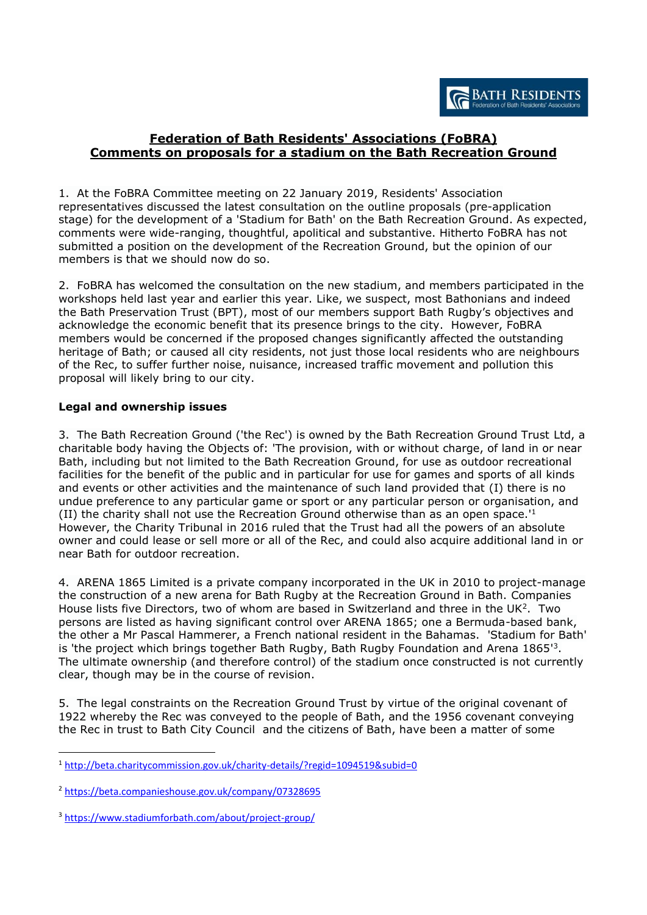# **Federation of Bath Residents' Associations (FoBRA) Comments on proposals for a stadium on the Bath Recreation Ground**

1. At the FoBRA Committee meeting on 22 January 2019, Residents' Association representatives discussed the latest consultation on the outline proposals (pre-application stage) for the development of a 'Stadium for Bath' on the Bath Recreation Ground. As expected, comments were wide-ranging, thoughtful, apolitical and substantive. Hitherto FoBRA has not submitted a position on the development of the Recreation Ground, but the opinion of our members is that we should now do so.

2. FoBRA has welcomed the consultation on the new stadium, and members participated in the workshops held last year and earlier this year. Like, we suspect, most Bathonians and indeed the Bath Preservation Trust (BPT), most of our members support Bath Rugby's objectives and acknowledge the economic benefit that its presence brings to the city. However, FoBRA members would be concerned if the proposed changes significantly affected the outstanding heritage of Bath; or caused all city residents, not just those local residents who are neighbours of the Rec, to suffer further noise, nuisance, increased traffic movement and pollution this proposal will likely bring to our city.

## **Legal and ownership issues**

3. The Bath Recreation Ground ('the Rec') is owned by the Bath Recreation Ground Trust Ltd, a charitable body having the Objects of: 'The provision, with or without charge, of land in or near Bath, including but not limited to the Bath Recreation Ground, for use as outdoor recreational facilities for the benefit of the public and in particular for use for games and sports of all kinds and events or other activities and the maintenance of such land provided that (I) there is no undue preference to any particular game or sport or any particular person or organisation, and (II) the charity shall not use the Recreation Ground otherwise than as an open space.' 1 However, the Charity Tribunal in 2016 ruled that the Trust had all the powers of an absolute owner and could lease or sell more or all of the Rec, and could also acquire additional land in or near Bath for outdoor recreation.

4. ARENA 1865 Limited is a private company incorporated in the UK in 2010 to project-manage the construction of a new arena for Bath Rugby at the Recreation Ground in Bath. Companies House lists five Directors, two of whom are based in Switzerland and three in the UK<sup>2</sup>. Two persons are listed as having significant control over ARENA 1865; one a Bermuda-based bank, the other a Mr Pascal Hammerer, a French national resident in the Bahamas. 'Stadium for Bath' is 'the project which brings together Bath Rugby, Bath Rugby Foundation and Arena 1865<sup>'3</sup>. The ultimate ownership (and therefore control) of the stadium once constructed is not currently clear, though may be in the course of revision.

5. The legal constraints on the Recreation Ground Trust by virtue of the original covenant of 1922 whereby the Rec was conveyed to the people of Bath, and the 1956 covenant conveying the Rec in trust to Bath City Council and the citizens of Bath, have been a matter of some

<u>.</u>

<sup>1</sup> <http://beta.charitycommission.gov.uk/charity-details/?regid=1094519&subid=0>

<sup>2</sup> <https://beta.companieshouse.gov.uk/company/07328695>

<sup>3</sup> <https://www.stadiumforbath.com/about/project-group/>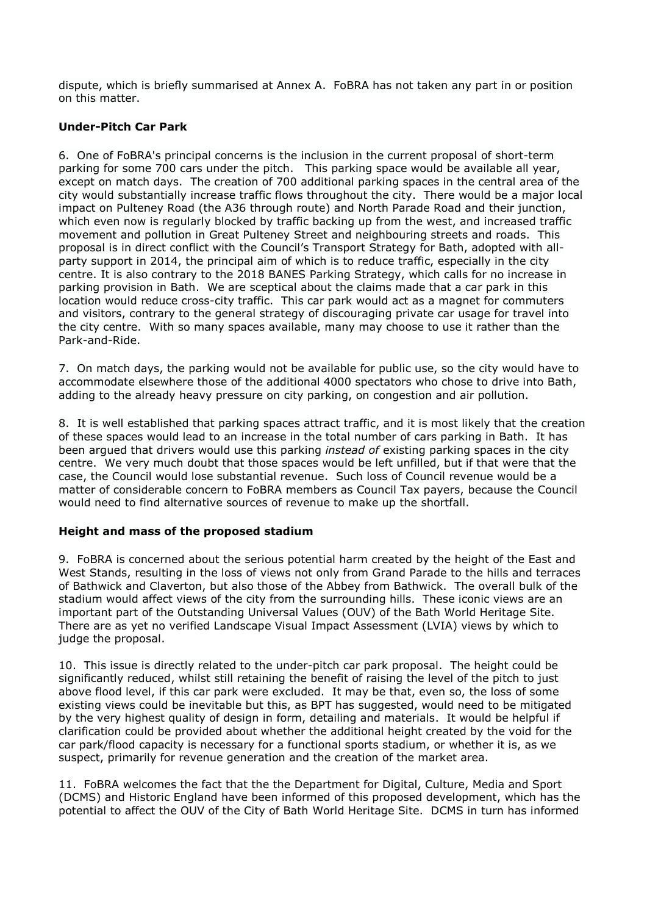dispute, which is briefly summarised at Annex A. FoBRA has not taken any part in or position on this matter.

## **Under-Pitch Car Park**

6. One of FoBRA's principal concerns is the inclusion in the current proposal of short-term parking for some 700 cars under the pitch. This parking space would be available all year, except on match days. The creation of 700 additional parking spaces in the central area of the city would substantially increase traffic flows throughout the city. There would be a major local impact on Pulteney Road (the A36 through route) and North Parade Road and their junction, which even now is regularly blocked by traffic backing up from the west, and increased traffic movement and pollution in Great Pulteney Street and neighbouring streets and roads. This proposal is in direct conflict with the Council's Transport Strategy for Bath, adopted with allparty support in 2014, the principal aim of which is to reduce traffic, especially in the city centre. It is also contrary to the 2018 BANES Parking Strategy, which calls for no increase in parking provision in Bath. We are sceptical about the claims made that a car park in this location would reduce cross-city traffic. This car park would act as a magnet for commuters and visitors, contrary to the general strategy of discouraging private car usage for travel into the city centre. With so many spaces available, many may choose to use it rather than the Park-and-Ride.

7. On match days, the parking would not be available for public use, so the city would have to accommodate elsewhere those of the additional 4000 spectators who chose to drive into Bath, adding to the already heavy pressure on city parking, on congestion and air pollution.

8. It is well established that parking spaces attract traffic, and it is most likely that the creation of these spaces would lead to an increase in the total number of cars parking in Bath. It has been argued that drivers would use this parking *instead of* existing parking spaces in the city centre. We very much doubt that those spaces would be left unfilled, but if that were that the case, the Council would lose substantial revenue. Such loss of Council revenue would be a matter of considerable concern to FoBRA members as Council Tax payers, because the Council would need to find alternative sources of revenue to make up the shortfall.

## **Height and mass of the proposed stadium**

9. FoBRA is concerned about the serious potential harm created by the height of the East and West Stands, resulting in the loss of views not only from Grand Parade to the hills and terraces of Bathwick and Claverton, but also those of the Abbey from Bathwick. The overall bulk of the stadium would affect views of the city from the surrounding hills. These iconic views are an important part of the Outstanding Universal Values (OUV) of the Bath World Heritage Site. There are as yet no verified Landscape Visual Impact Assessment (LVIA) views by which to judge the proposal.

10. This issue is directly related to the under-pitch car park proposal. The height could be significantly reduced, whilst still retaining the benefit of raising the level of the pitch to just above flood level, if this car park were excluded. It may be that, even so, the loss of some existing views could be inevitable but this, as BPT has suggested, would need to be mitigated by the very highest quality of design in form, detailing and materials. It would be helpful if clarification could be provided about whether the additional height created by the void for the car park/flood capacity is necessary for a functional sports stadium, or whether it is, as we suspect, primarily for revenue generation and the creation of the market area.

11. FoBRA welcomes the fact that the the Department for Digital, Culture, Media and Sport (DCMS) and Historic England have been informed of this proposed development, which has the potential to affect the OUV of the City of Bath World Heritage Site. DCMS in turn has informed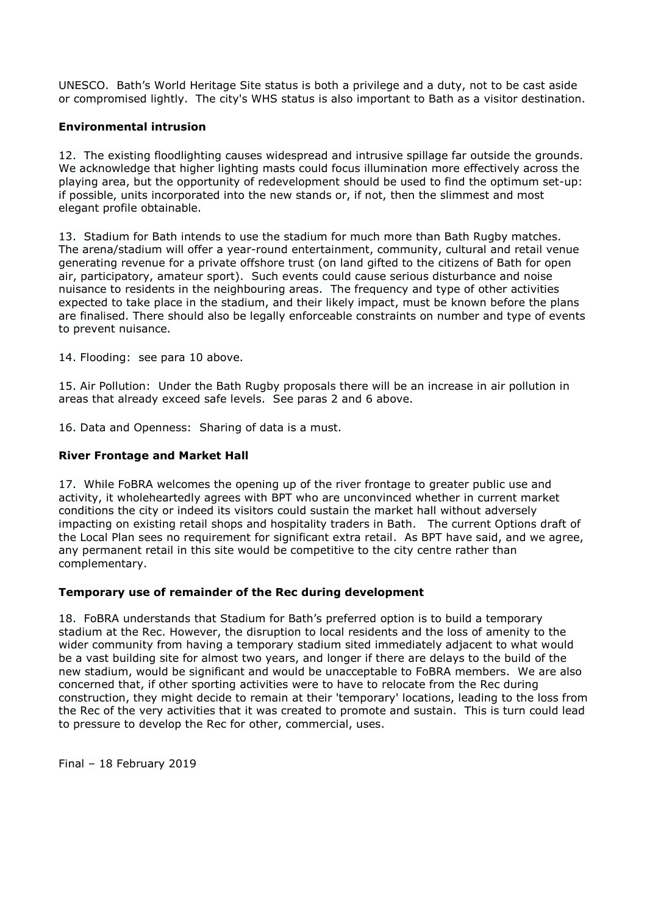UNESCO. Bath's World Heritage Site status is both a privilege and a duty, not to be cast aside or compromised lightly. The city's WHS status is also important to Bath as a visitor destination.

### **Environmental intrusion**

12. The existing floodlighting causes widespread and intrusive spillage far outside the grounds. We acknowledge that higher lighting masts could focus illumination more effectively across the playing area, but the opportunity of redevelopment should be used to find the optimum set-up: if possible, units incorporated into the new stands or, if not, then the slimmest and most elegant profile obtainable.

13. Stadium for Bath intends to use the stadium for much more than Bath Rugby matches. The arena/stadium will offer a year-round entertainment, community, cultural and retail venue generating revenue for a private offshore trust (on land gifted to the citizens of Bath for open air, participatory, amateur sport). Such events could cause serious disturbance and noise nuisance to residents in the neighbouring areas. The frequency and type of other activities expected to take place in the stadium, and their likely impact, must be known before the plans are finalised. There should also be legally enforceable constraints on number and type of events to prevent nuisance.

14. Flooding: see para 10 above.

15. Air Pollution: Under the Bath Rugby proposals there will be an increase in air pollution in areas that already exceed safe levels. See paras 2 and 6 above.

16. Data and Openness: Sharing of data is a must.

#### **River Frontage and Market Hall**

17. While FoBRA welcomes the opening up of the river frontage to greater public use and activity, it wholeheartedly agrees with BPT who are unconvinced whether in current market conditions the city or indeed its visitors could sustain the market hall without adversely impacting on existing retail shops and hospitality traders in Bath. The current Options draft of the Local Plan sees no requirement for significant extra retail. As BPT have said, and we agree, any permanent retail in this site would be competitive to the city centre rather than complementary.

#### **Temporary use of remainder of the Rec during development**

18. FoBRA understands that Stadium for Bath's preferred option is to build a temporary stadium at the Rec. However, the disruption to local residents and the loss of amenity to the wider community from having a temporary stadium sited immediately adjacent to what would be a vast building site for almost two years, and longer if there are delays to the build of the new stadium, would be significant and would be unacceptable to FoBRA members. We are also concerned that, if other sporting activities were to have to relocate from the Rec during construction, they might decide to remain at their 'temporary' locations, leading to the loss from the Rec of the very activities that it was created to promote and sustain. This is turn could lead to pressure to develop the Rec for other, commercial, uses.

Final – 18 February 2019